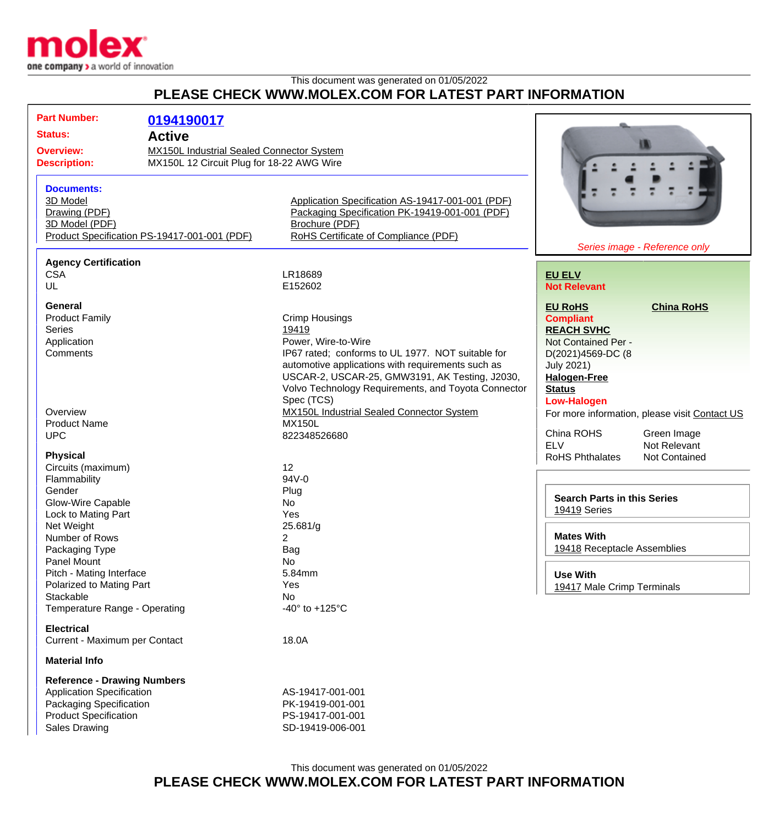

## This document was generated on 01/05/2022 **PLEASE CHECK WWW.MOLEX.COM FOR LATEST PART INFORMATION**

| <b>Part Number:</b>                          |                                           |                                                     |                                               |                               |
|----------------------------------------------|-------------------------------------------|-----------------------------------------------------|-----------------------------------------------|-------------------------------|
|                                              | 0194190017                                |                                                     |                                               |                               |
|                                              | <b>Status:</b><br><b>Active</b>           |                                                     |                                               |                               |
| <b>Overview:</b>                             | MX150L Industrial Sealed Connector System |                                                     |                                               |                               |
| <b>Description:</b>                          | MX150L 12 Circuit Plug for 18-22 AWG Wire |                                                     |                                               |                               |
|                                              |                                           |                                                     |                                               |                               |
| <b>Documents:</b>                            |                                           |                                                     |                                               |                               |
| 3D Model                                     |                                           | Application Specification AS-19417-001-001 (PDF)    |                                               |                               |
| Drawing (PDF)                                |                                           | Packaging Specification PK-19419-001-001 (PDF)      |                                               |                               |
| 3D Model (PDF)                               |                                           | Brochure (PDF)                                      |                                               |                               |
| Product Specification PS-19417-001-001 (PDF) |                                           | RoHS Certificate of Compliance (PDF)                |                                               |                               |
|                                              |                                           |                                                     |                                               | Series image - Reference only |
| <b>Agency Certification</b>                  |                                           |                                                     |                                               |                               |
| <b>CSA</b>                                   |                                           | LR18689                                             | <b>EU ELV</b>                                 |                               |
| UL                                           |                                           | E152602                                             | <b>Not Relevant</b>                           |                               |
|                                              |                                           |                                                     |                                               |                               |
| General                                      |                                           |                                                     | <b>EU RoHS</b>                                | <b>China RoHS</b>             |
| <b>Product Family</b>                        |                                           | <b>Crimp Housings</b>                               | <b>Compliant</b>                              |                               |
| <b>Series</b>                                |                                           | 19419                                               | <b>REACH SVHC</b>                             |                               |
| Application                                  |                                           | Power, Wire-to-Wire                                 | Not Contained Per -                           |                               |
| Comments                                     |                                           | IP67 rated; conforms to UL 1977. NOT suitable for   | D(2021)4569-DC (8                             |                               |
|                                              |                                           | automotive applications with requirements such as   | <b>July 2021)</b>                             |                               |
|                                              |                                           | USCAR-2, USCAR-25, GMW3191, AK Testing, J2030,      | <b>Halogen-Free</b>                           |                               |
|                                              |                                           | Volvo Technology Requirements, and Toyota Connector | <b>Status</b>                                 |                               |
|                                              |                                           | Spec (TCS)                                          | <b>Low-Halogen</b>                            |                               |
| Overview                                     |                                           | MX150L Industrial Sealed Connector System           | For more information, please visit Contact US |                               |
| <b>Product Name</b>                          |                                           | <b>MX150L</b>                                       |                                               |                               |
| <b>UPC</b>                                   |                                           | 822348526680                                        | China ROHS                                    | Green Image                   |
|                                              |                                           |                                                     | <b>ELV</b>                                    | Not Relevant                  |
| <b>Physical</b>                              |                                           |                                                     | <b>RoHS Phthalates</b>                        | Not Contained                 |
| Circuits (maximum)                           |                                           | 12                                                  |                                               |                               |
| Flammability                                 |                                           | 94V-0                                               |                                               |                               |
| Gender                                       |                                           | Plug                                                |                                               |                               |
| Glow-Wire Capable                            |                                           | No                                                  | <b>Search Parts in this Series</b>            |                               |
| Lock to Mating Part                          |                                           | Yes                                                 | <b>19419 Series</b>                           |                               |
| Net Weight                                   |                                           | 25.681/g                                            |                                               |                               |
| Number of Rows                               |                                           | 2                                                   | <b>Mates With</b>                             |                               |
| Packaging Type                               |                                           | Bag                                                 | 19418 Receptacle Assemblies                   |                               |
| Panel Mount                                  |                                           | No                                                  |                                               |                               |
| Pitch - Mating Interface                     |                                           | 5.84mm                                              | <b>Use With</b>                               |                               |
| Polarized to Mating Part                     |                                           | Yes                                                 | 19417 Male Crimp Terminals                    |                               |
| Stackable                                    |                                           | No                                                  |                                               |                               |
| Temperature Range - Operating                |                                           | -40 $\degree$ to +125 $\degree$ C                   |                                               |                               |
|                                              |                                           |                                                     |                                               |                               |
| <b>Electrical</b>                            |                                           |                                                     |                                               |                               |
| Current - Maximum per Contact                |                                           | 18.0A                                               |                                               |                               |
| <b>Material Info</b>                         |                                           |                                                     |                                               |                               |
| <b>Reference - Drawing Numbers</b>           |                                           |                                                     |                                               |                               |
| <b>Application Specification</b>             |                                           | AS-19417-001-001                                    |                                               |                               |
| Packaging Specification                      |                                           | PK-19419-001-001                                    |                                               |                               |
| <b>Product Specification</b>                 |                                           | PS-19417-001-001                                    |                                               |                               |
| <b>Sales Drawing</b>                         |                                           | SD-19419-006-001                                    |                                               |                               |
|                                              |                                           |                                                     |                                               |                               |